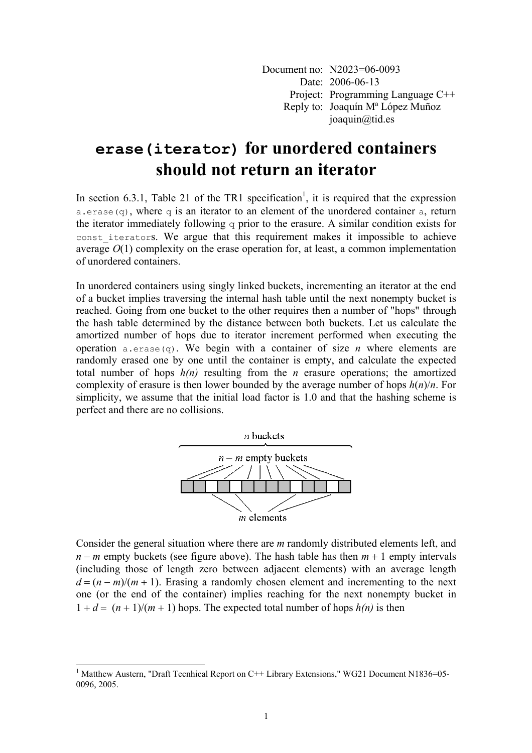Document no: N2023=06-0093 Date: 2006-06-13 Project: Programming Language C++ Reply to: Joaquín Mª López Muñoz joaquin@tid.es

## **erase(iterator) for unordered containers should not return an iterator**

In section 6.3.1, Table 21 of the TR1 specification<sup>1</sup>, it is required that the expression a.erase(q), where q is an iterator to an element of the unordered container a, return the iterator immediately following  $q$  prior to the erasure. A similar condition exists for const\_iterators. We argue that this requirement makes it impossible to achieve average  $O(1)$  complexity on the erase operation for, at least, a common implementation of unordered containers.

In unordered containers using singly linked buckets, incrementing an iterator at the end of a bucket implies traversing the internal hash table until the next nonempty bucket is reached. Going from one bucket to the other requires then a number of "hops" through the hash table determined by the distance between both buckets. Let us calculate the amortized number of hops due to iterator increment performed when executing the operation a.erase(q). We begin with a container of size *n* where elements are randomly erased one by one until the container is empty, and calculate the expected total number of hops *h(n)* resulting from the *n* erasure operations; the amortized complexity of erasure is then lower bounded by the average number of hops  $h(n)/n$ . For simplicity, we assume that the initial load factor is 1.0 and that the hashing scheme is perfect and there are no collisions.



Consider the general situation where there are *m* randomly distributed elements left, and *n* − *m* empty buckets (see figure above). The hash table has then *m* + 1 empty intervals (including those of length zero between adjacent elements) with an average length  $d = (n - m)/(m + 1)$ . Erasing a randomly chosen element and incrementing to the next one (or the end of the container) implies reaching for the next nonempty bucket in  $1 + d = (n + 1)/(m + 1)$  hops. The expected total number of hops  $h(n)$  is then

l

<sup>&</sup>lt;sup>1</sup> Matthew Austern, "Draft Tecnhical Report on C++ Library Extensions," WG21 Document N1836=05-0096, 2005.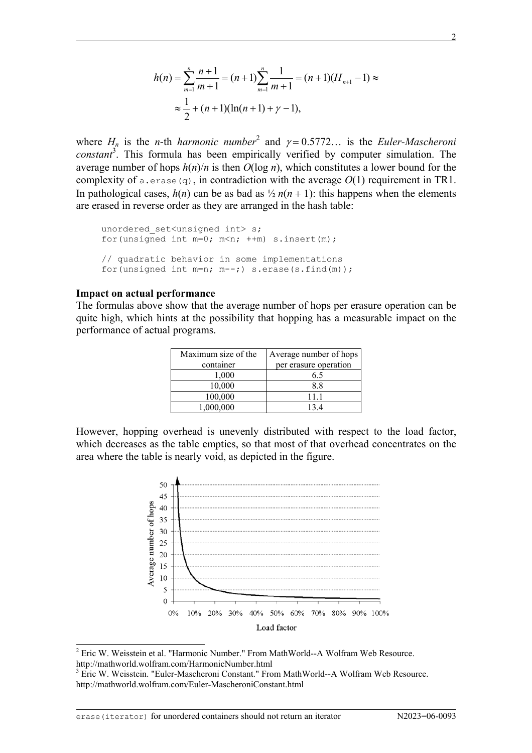$$
h(n) = \sum_{m=1}^{n} \frac{n+1}{m+1} = (n+1) \sum_{m=1}^{n} \frac{1}{m+1} = (n+1)(H_{n+1}-1) \approx
$$
  

$$
\approx \frac{1}{2} + (n+1)(\ln(n+1) + \gamma - 1),
$$

where  $H_n$  is the *n*-th *harmonic number*<sup>2</sup> and  $\gamma = 0.5772...$  is the *Euler-Mascheroni* constant<sup>3</sup>. This formula has been empirically verified by computer simulation. The average number of hops  $h(n)/n$  is then  $O(\log n)$ , which constitutes a lower bound for the complexity of a.erase(q), in contradiction with the average  $O(1)$  requirement in TR1. In pathological cases,  $h(n)$  can be as bad as  $\frac{1}{2} n(n + 1)$ : this happens when the elements are erased in reverse order as they are arranged in the hash table:

```
unordered set<unsigned int> s;
for(unsigned int m=0; m<n; ++m) s.insert(m);
// quadratic behavior in some implementations
for(unsigned int m=n; m--;) s.erase(s.find(m));
```
## **Impact on actual performance**

 $\overline{a}$ 

The formulas above show that the average number of hops per erasure operation can be quite high, which hints at the possibility that hopping has a measurable impact on the performance of actual programs.

| Maximum size of the | Average number of hops |
|---------------------|------------------------|
| container           | per erasure operation  |
| 1,000               | 65                     |
| 10,000              | 8.8                    |
| 100,000             | 11 1                   |
| 1,000,000           | 134                    |

However, hopping overhead is unevenly distributed with respect to the load factor, which decreases as the table empties, so that most of that overhead concentrates on the area where the table is nearly void, as depicted in the figure.



<sup>&</sup>lt;sup>2</sup> Eric W. Weisstein et al. "Harmonic Number." From MathWorld--A Wolfram Web Resource. http://mathworld.wolfram.com/HarmonicNumber.html

 $\overline{a}$ 

l

<sup>&</sup>lt;sup>3</sup> Eric W. Weisstein. "Euler-Mascheroni Constant." From MathWorld--A Wolfram Web Resource. http://mathworld.wolfram.com/Euler-MascheroniConstant.html